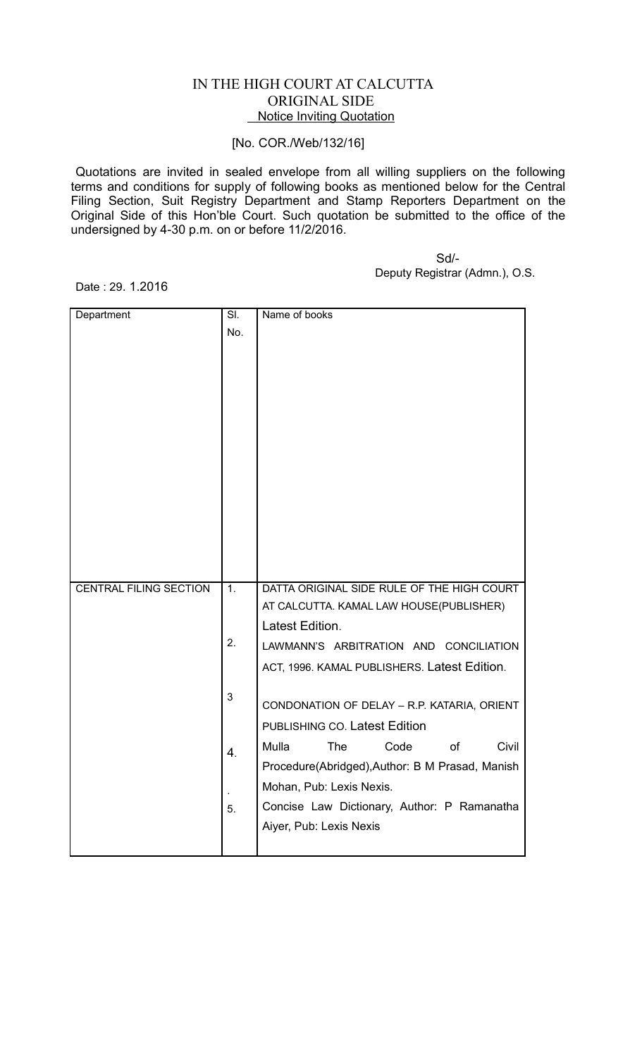## IN THE HIGH COURT AT CALCUTTA ORIGINAL SIDE **Notice Inviting Quotation**

## [No. COR./Web/132/16]

Quotations are invited in sealed envelope from all willing suppliers on the following terms and conditions for supply of following books as mentioned below for the Central Filing Section, Suit Registry Department and Stamp Reporters Department on the Original Side of this Hon'ble Court. Such quotation be submitted to the office of the undersigned by 4-30 p.m. on or before 11/2/2016.

> Sd/- Deputy Registrar (Admn.), O.S.

Date : 29. 1.2016

| Department                    | $\overline{\text{SI}}$ | Name of books                                   |
|-------------------------------|------------------------|-------------------------------------------------|
|                               | No.                    |                                                 |
|                               |                        |                                                 |
|                               |                        |                                                 |
|                               |                        |                                                 |
|                               |                        |                                                 |
|                               |                        |                                                 |
|                               |                        |                                                 |
|                               |                        |                                                 |
|                               |                        |                                                 |
|                               |                        |                                                 |
|                               |                        |                                                 |
|                               |                        |                                                 |
|                               |                        |                                                 |
|                               |                        |                                                 |
|                               |                        |                                                 |
| <b>CENTRAL FILING SECTION</b> | $\overline{1}$ .       | DATTA ORIGINAL SIDE RULE OF THE HIGH COURT      |
|                               |                        | AT CALCUTTA. KAMAL LAW HOUSE(PUBLISHER)         |
|                               |                        | Latest Edition.                                 |
|                               | 2.                     | LAWMANN'S ARBITRATION AND CONCILIATION          |
|                               |                        |                                                 |
|                               |                        | ACT, 1996. KAMAL PUBLISHERS. Latest Edition.    |
|                               | 3                      |                                                 |
|                               |                        | CONDONATION OF DELAY - R.P. KATARIA, ORIENT     |
|                               |                        | PUBLISHING CO. Latest Edition                   |
|                               |                        | Civil<br>Mulla<br>The<br>Code<br>of             |
|                               | $\overline{4}$ .       | Procedure(Abridged), Author: B M Prasad, Manish |
|                               |                        |                                                 |
|                               |                        | Mohan, Pub: Lexis Nexis.                        |
|                               | 5.                     | Concise Law Dictionary, Author: P Ramanatha     |
|                               |                        | Aiyer, Pub: Lexis Nexis                         |
|                               |                        |                                                 |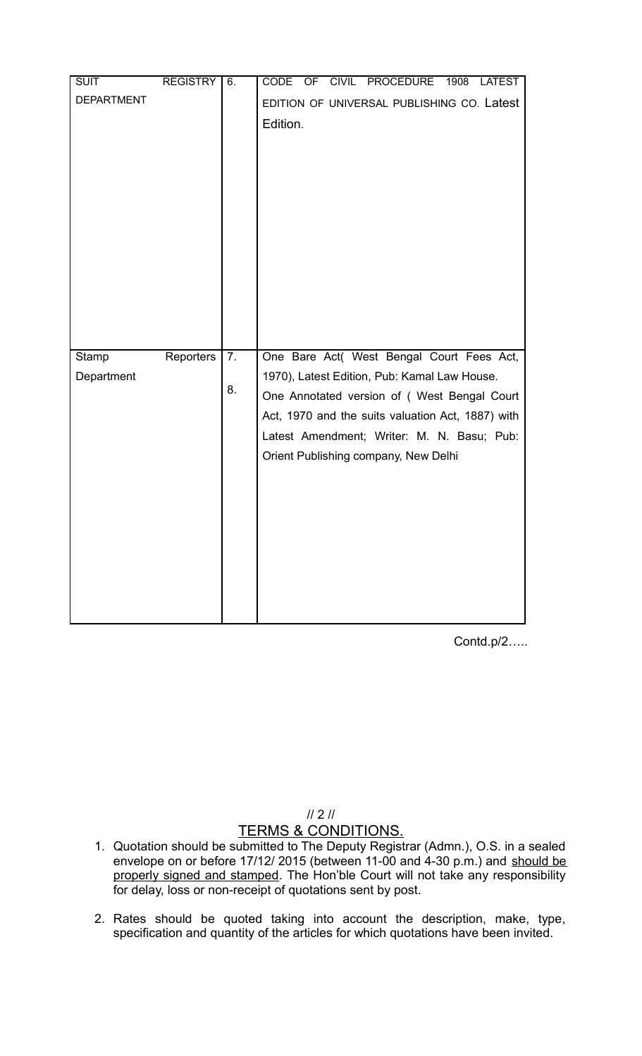| <b>SUIT</b>       | <b>REGISTRY</b> | 6. | CODE OF CIVIL PROCEDURE 1908 LATEST               |
|-------------------|-----------------|----|---------------------------------------------------|
| <b>DEPARTMENT</b> |                 |    | EDITION OF UNIVERSAL PUBLISHING CO. Latest        |
|                   |                 |    | Edition.                                          |
|                   |                 |    |                                                   |
|                   |                 |    |                                                   |
|                   |                 |    |                                                   |
|                   |                 |    |                                                   |
|                   |                 |    |                                                   |
|                   |                 |    |                                                   |
|                   |                 |    |                                                   |
|                   |                 |    |                                                   |
|                   |                 |    |                                                   |
|                   |                 |    |                                                   |
|                   |                 |    |                                                   |
|                   |                 |    |                                                   |
| Stamp             | Reporters       | 7. | One Bare Act( West Bengal Court Fees Act,         |
|                   |                 |    |                                                   |
| Department        |                 | 8. | 1970), Latest Edition, Pub: Kamal Law House.      |
|                   |                 |    | One Annotated version of ( West Bengal Court      |
|                   |                 |    |                                                   |
|                   |                 |    | Act, 1970 and the suits valuation Act, 1887) with |
|                   |                 |    | Latest Amendment; Writer: M. N. Basu; Pub:        |
|                   |                 |    | Orient Publishing company, New Delhi              |
|                   |                 |    |                                                   |
|                   |                 |    |                                                   |
|                   |                 |    |                                                   |
|                   |                 |    |                                                   |
|                   |                 |    |                                                   |
|                   |                 |    |                                                   |
|                   |                 |    |                                                   |
|                   |                 |    |                                                   |

Contd.p/2…..

## // 2 // TERMS & CONDITIONS.

- 1. Quotation should be submitted to The Deputy Registrar (Admn.), O.S. in a sealed envelope on or before 17/12/ 2015 (between 11-00 and 4-30 p.m.) and should be properly signed and stamped. The Hon'ble Court will not take any responsibility for delay, loss or non-receipt of quotations sent by post.
- 2. Rates should be quoted taking into account the description, make, type, specification and quantity of the articles for which quotations have been invited.